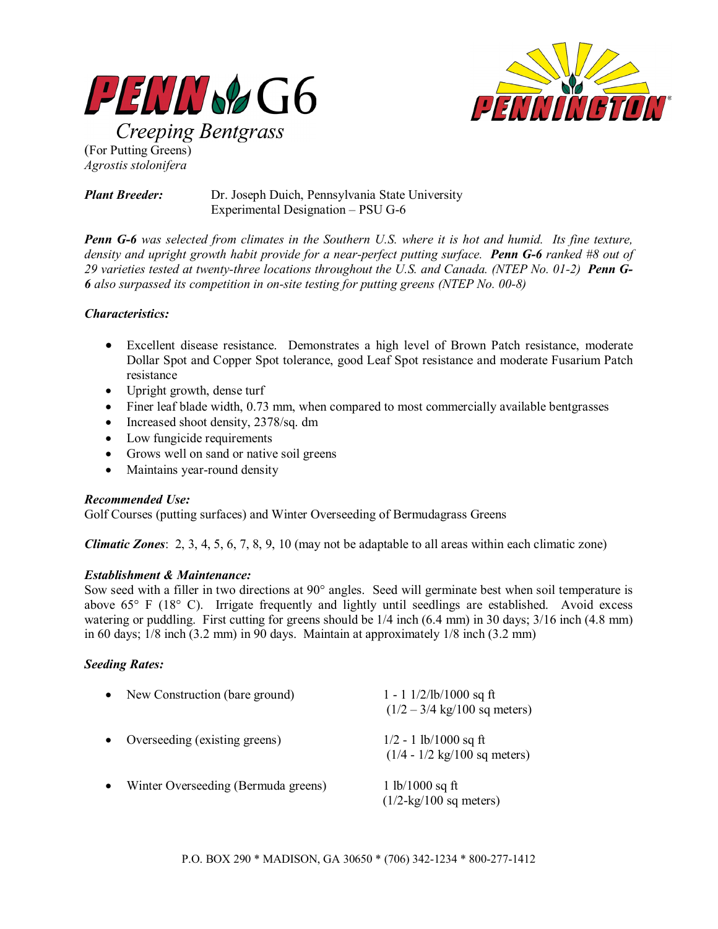



**Creeping Bentgrass** (For Putting Greens) *Agrostis stolonifera* 

*Plant Breeder:* Dr. Joseph Duich, Pennsylvania State University Experimental Designation – PSU G-6

*Penn G-6 was selected from climates in the Southern U.S. where it is hot and humid. Its fine texture, density and upright growth habit provide for a near-perfect putting surface. Penn G-6 ranked #8 out of 29 varieties tested at twenty-three locations throughout the U.S. and Canada. (NTEP No. 01-2) Penn G-6 also surpassed its competition in on-site testing for putting greens (NTEP No. 00-8)* 

## *Characteristics:*

- Excellent disease resistance. Demonstrates a high level of Brown Patch resistance, moderate Dollar Spot and Copper Spot tolerance, good Leaf Spot resistance and moderate Fusarium Patch resistance
- Upright growth, dense turf
- Finer leaf blade width, 0.73 mm, when compared to most commercially available bentgrasses
- Increased shoot density, 2378/sq. dm
- Low fungicide requirements
- Grows well on sand or native soil greens
- Maintains year-round density

# *Recommended Use:*

Golf Courses (putting surfaces) and Winter Overseeding of Bermudagrass Greens

*Climatic Zones*: 2, 3, 4, 5, 6, 7, 8, 9, 10 (may not be adaptable to all areas within each climatic zone)

### *Establishment & Maintenance:*

Sow seed with a filler in two directions at 90° angles. Seed will germinate best when soil temperature is above 65° F (18° C). Irrigate frequently and lightly until seedlings are established. Avoid excess watering or puddling. First cutting for greens should be  $1/4$  inch (6.4 mm) in 30 days;  $3/16$  inch (4.8 mm) in 60 days; 1/8 inch (3.2 mm) in 90 days. Maintain at approximately 1/8 inch (3.2 mm)

# *Seeding Rates:*

| New Construction (bare ground)      | 1 - 1 $1/2$ /lb/1000 sq ft<br>$(1/2 - 3/4 \text{ kg}/100 \text{ sq meters})$ |
|-------------------------------------|------------------------------------------------------------------------------|
| Overseeding (existing greens)       | $1/2 - 1$ lb/1000 sq ft<br>$(1/4 - 1/2 \text{ kg}/100 \text{ sq meters})$    |
| Winter Overseeding (Bermuda greens) | 1 lb/1000 sq ft<br>$(1/2$ -kg/100 sq meters)                                 |